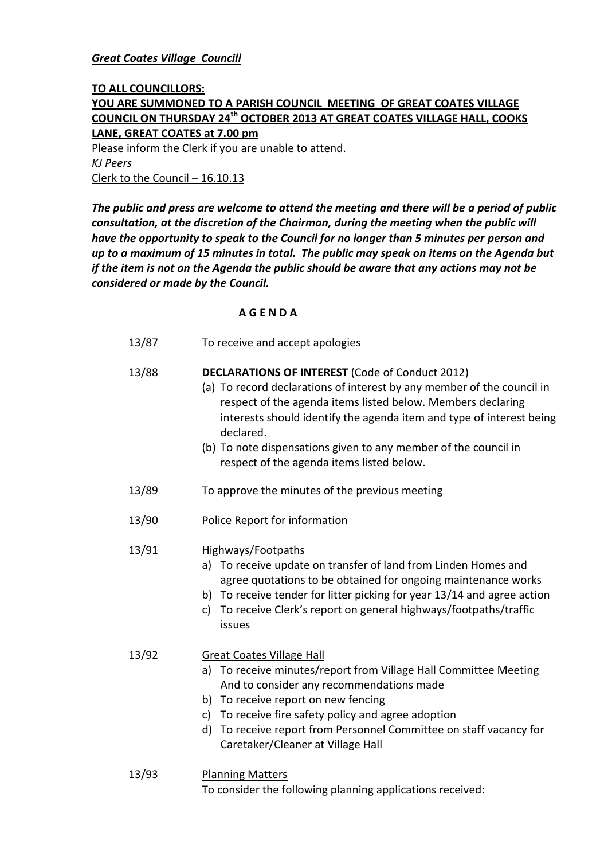#### *Great Coates Village Councill*

## **TO ALL COUNCILLORS:**

# **YOU ARE SUMMONED TO A PARISH COUNCIL MEETING OF GREAT COATES VILLAGE COUNCIL ON THURSDAY 24 th OCTOBER 2013 AT GREAT COATES VILLAGE HALL, COOKS LANE, GREAT COATES at 7.00 pm**

Please inform the Clerk if you are unable to attend. *KJ Peers* Clerk to the Council – 16.10.13

*The public and press are welcome to attend the meeting and there will be a period of public consultation, at the discretion of the Chairman, during the meeting when the public will have the opportunity to speak to the Council for no longer than 5 minutes per person and up to a maximum of 15 minutes in total. The public may speak on items on the Agenda but if the item is not on the Agenda the public should be aware that any actions may not be considered or made by the Council.*

## **A G E N D A**

13/87 To receive and accept apologies

## 13/88 **DECLARATIONS OF INTEREST** (Code of Conduct 2012)

- (a) To record declarations of interest by any member of the council in respect of the agenda items listed below. Members declaring interests should identify the agenda item and type of interest being declared.
	- (b) To note dispensations given to any member of the council in respect of the agenda items listed below.
- 13/89 To approve the minutes of the previous meeting
- 13/90 Police Report for information

## 13/91 Highways/Footpaths

- a) To receive update on transfer of land from Linden Homes and agree quotations to be obtained for ongoing maintenance works
- b) To receive tender for litter picking for year 13/14 and agree action
- c) To receive Clerk's report on general highways/footpaths/traffic issues

#### 13/92 Great Coates Village Hall

- a) To receive minutes/report from Village Hall Committee Meeting And to consider any recommendations made
- b) To receive report on new fencing
- c) To receive fire safety policy and agree adoption
- d) To receive report from Personnel Committee on staff vacancy for Caretaker/Cleaner at Village Hall
- 13/93 Planning Matters

To consider the following planning applications received: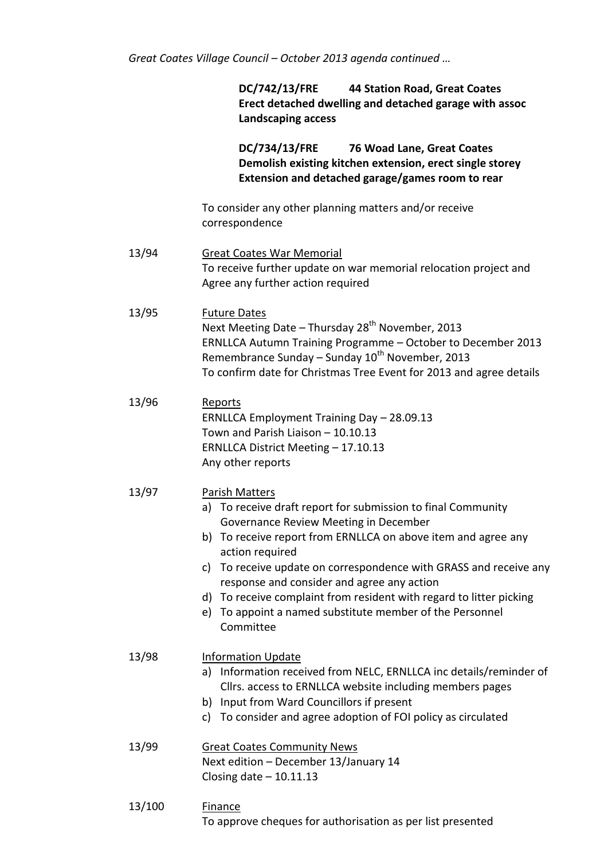*Great Coates Village Council – October 2013 agenda continued …*

**DC/742/13/FRE 44 Station Road, Great Coates Erect detached dwelling and detached garage with assoc Landscaping access**

**DC/734/13/FRE 76 Woad Lane, Great Coates Demolish existing kitchen extension, erect single storey Extension and detached garage/games room to rear**

To consider any other planning matters and/or receive correspondence

- 13/94 Great Coates War Memorial To receive further update on war memorial relocation project and Agree any further action required
- 13/95 Future Dates Next Meeting Date – Thursday 28<sup>th</sup> November, 2013 ERNLLCA Autumn Training Programme – October to December 2013 Remembrance Sunday – Sunday  $10^{th}$  November, 2013 To confirm date for Christmas Tree Event for 2013 and agree details
- 13/96 Reports ERNLLCA Employment Training Day – 28.09.13 Town and Parish Liaison – 10.10.13 ERNLLCA District Meeting – 17.10.13 Any other reports
- 13/97 Parish Matters
	- a) To receive draft report for submission to final Community Governance Review Meeting in December
	- b) To receive report from ERNLLCA on above item and agree any action required
	- c) To receive update on correspondence with GRASS and receive any response and consider and agree any action
	- d) To receive complaint from resident with regard to litter picking
	- e) To appoint a named substitute member of the Personnel Committee
- 13/98 Information Update
	- a) Information received from NELC, ERNLLCA inc details/reminder of Cllrs. access to ERNLLCA website including members pages
	- b) Input from Ward Councillors if present
	- c) To consider and agree adoption of FOI policy as circulated

13/99 Great Coates Community News Next edition – December 13/January 14 Closing date  $-10.11.13$ 

13/100 Finance To approve cheques for authorisation as per list presented